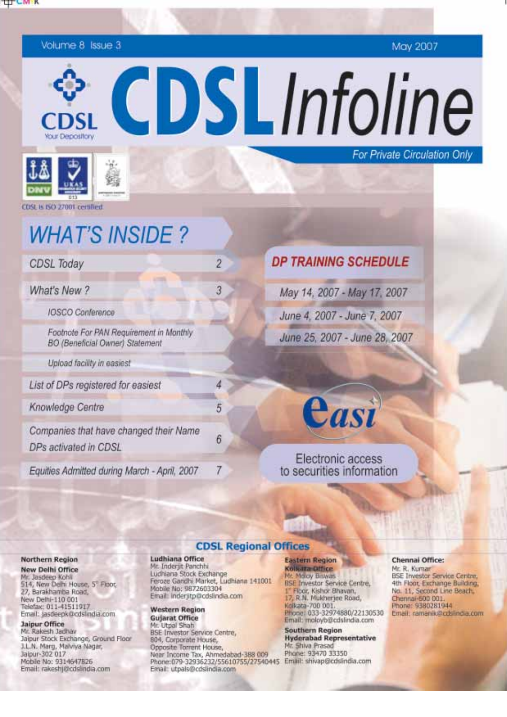

Volume 8 Issue 3

May 2007

For Private Circulation Only

CDSLInfoline



CDSL is ISO 27001 certified

# **WHAT'S INSIDE?**

**CDSL Today** 

What's New ?

**IOSCO** Conference

Footnote For PAN Requirement in Monthly **BO** (Beneficial Owner) Statement

Upload facility in easiest

List of DPs registered for easiest

Knowledge Centre

Companies that have changed their Name DPs activated in CDSL

Equities Admitted during March - April, 2007

# **DP TRAINING SCHEDULE**

May 14, 2007 - May 17, 2007 June 4, 2007 - June 7, 2007 June 25, 2007 - June 28, 2007

Casi

### Electronic access to securities information

#### Northern Region

**New Delhi Office** Mr. Jasdeep Kohli 514, New Delhi House, 5" Floor, 27, Barakhamba Road, New Delhi-110 001 Telefax: 011-41511917 Email: jasdeepk@cdslindia.com

#### **Jaipur Office**

Mr. Rakesh Jadhav Jaipur Stock Exchange, Ground Floor J.L.N. Marg, Malviya Nagar, Jalpur-302 017 Mobile No: 9314647826 Email: rakeshj@cdslindia.com

### **CDSL Regional Offices**

#### Ludhiana Office

Mr. Inderjit Panchhi Ludhiana Stock Exchange Feroze Gandhi Market, Ludhiana 141001 Mobile No: 9872603304 Email: inderjitp@cdslindia.com

 $\overline{c}$ 

3

4

5

6

7

#### **Western Region Gujarat Office**

Mr. Utpal Shah **BSE Investor Service Centre,** 804, Corporate House, Opposite Torrent House, Near Income Tax, Ahmedabad-388 009 Phone:079-32936232/55610755/27540445 Email: shivap@cdslindia.com Email: utpals@cdslindia.com

### **Eastern Region**

**Kolkata Office 4r. Moray Biswas BSE Investor Service Centre,** 1<sup>\*</sup> Floor, Kishor Bhavan,<br>17, R.N. Mukherjee Road, Kolkata-700 001 Phone: 033-32974880/22130530 Email: moloyb@cdslindia.com

**Southern Region Hyderabad Representative** Mr. Shiva Prasad Phane: 93470 33350

#### Chennai Office:

Mr. R. Kumar **BSE Investor Service Centre,** 4th Floor, Exchange Building, No. 11, Second Line Beach. Chennai-500 001 Phone: 9380281944 Email: ramanik@cdslindia.com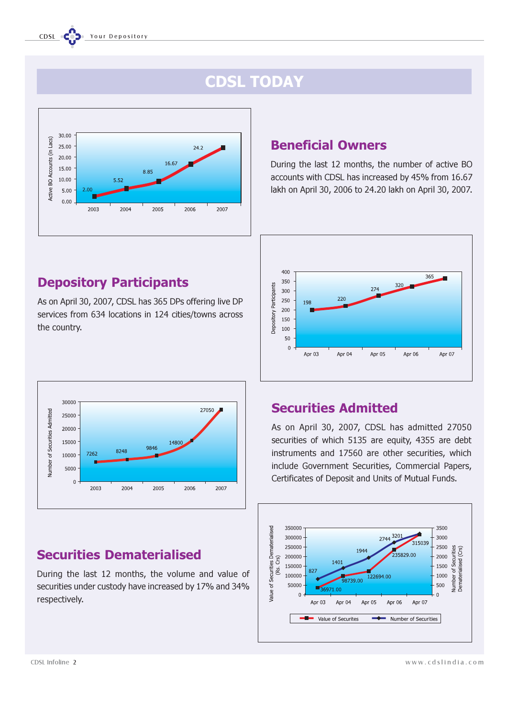# CDSL TODAY



# Beneficial Owners

During the last 12 months, the number of active BO accounts with CDSL has increased by 45% from 16.67 lakh on April 30, 2006 to 24.20 lakh on April 30, 2007.



# Depository Participants

As on April 30, 2007, CDSL has 365 DPs offering live DP services from 634 locations in 124 cities/towns across the country.



# Securities Dematerialised

During the last 12 months, the volume and value of securities under custody have increased by 17% and 34% respectively.

## Securities Admitted

As on April 30, 2007, CDSL has admitted 27050 securities of which 5135 are equity, 4355 are debt instruments and 17560 are other securities, which include Government Securities, Commercial Papers, Certificates of Deposit and Units of Mutual Funds.

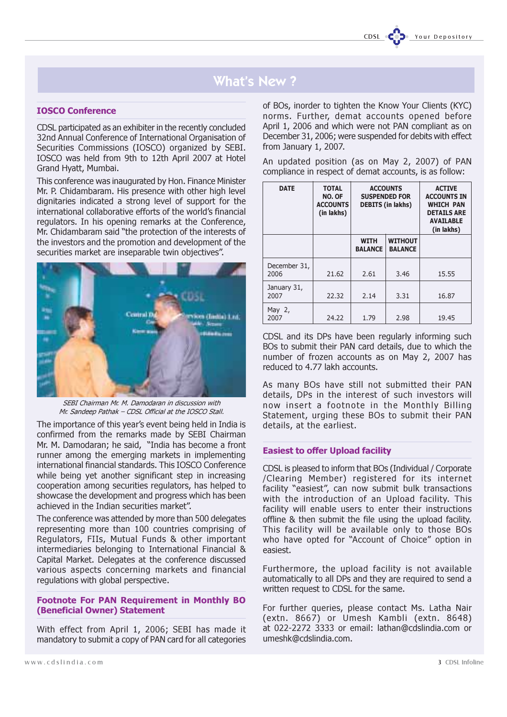# What's New ?

#### IOSCO Conference

CDSL participated as an exhibiter in the recently concluded 32nd Annual Conference of International Organisation of Securities Commissions (IOSCO) organized by SEBI. IOSCO was held from 9th to 12th April 2007 at Hotel Grand Hyatt, Mumbai.

This conference was inaugurated by Hon. Finance Minister Mr. P. Chidambaram. His presence with other high level dignitaries indicated a strong level of support for the international collaborative efforts of the world's financial regulators. In his opening remarks at the Conference, Mr. Chidambaram said "the protection of the interests of the investors and the promotion and development of the securities market are inseparable twin objectives".

![](_page_2_Picture_5.jpeg)

SEBI Chairman Mr. M. Damodaran in discussion with Mr. Sandeep Pathak – CDSL Official at the IOSCO Stall.

The importance of this year's event being held in India is confirmed from the remarks made by SEBI Chairman Mr. M. Damodaran; he said, "India has become a front runner among the emerging markets in implementing international financial standards. This IOSCO Conference while being yet another significant step in increasing cooperation among securities regulators, has helped to showcase the development and progress which has been achieved in the Indian securities market".

The conference was attended by more than 500 delegates representing more than 100 countries comprising of Regulators, FIIs, Mutual Funds & other important intermediaries belonging to International Financial & Capital Market. Delegates at the conference discussed various aspects concerning markets and financial regulations with global perspective.

#### Footnote For PAN Requirement in Monthly BO (Beneficial Owner) Statement

With effect from April 1, 2006; SEBI has made it mandatory to submit a copy of PAN card for all categories of BOs, inorder to tighten the Know Your Clients (KYC) norms. Further, demat accounts opened before April 1, 2006 and which were not PAN compliant as on December 31, 2006; were suspended for debits with effect from January 1, 2007.

An updated position (as on May 2, 2007) of PAN compliance in respect of demat accounts, is as follow:

| <b>DATE</b>          | <b>TOTAL</b><br>NO. OF<br><b>ACCOUNTS</b><br>(in lakhs) | <b>ACCOUNTS</b><br><b>SUSPENDED FOR</b><br><b>DEBITS</b> (in lakhs) |                                  | <b>ACTIVE</b><br><b>ACCOUNTS IN</b><br><b>WHICH PAN</b><br><b>DETAILS ARE</b><br><b>AVAILABLE</b><br>(in lakhs) |
|----------------------|---------------------------------------------------------|---------------------------------------------------------------------|----------------------------------|-----------------------------------------------------------------------------------------------------------------|
|                      |                                                         | <b>WITH</b><br><b>BALANCE</b>                                       | <b>WITHOUT</b><br><b>BALANCE</b> |                                                                                                                 |
| December 31,<br>2006 | 21.62                                                   | 2.61                                                                | 3.46                             | 15.55                                                                                                           |
| January 31,<br>2007  | 22.32                                                   | 2.14                                                                | 3.31                             | 16.87                                                                                                           |
| May $2$ ,<br>2007    | 24.22                                                   | 1.79                                                                | 2.98                             | 19.45                                                                                                           |

CDSL and its DPs have been regularly informing such BOs to submit their PAN card details, due to which the number of frozen accounts as on May 2, 2007 has reduced to 4.77 lakh accounts.

As many BOs have still not submitted their PAN details, DPs in the interest of such investors will now insert a footnote in the Monthly Billing Statement, urging these BOs to submit their PAN details, at the earliest.

#### Easiest to offer Upload facility

CDSL is pleased to inform that BOs (Individual / Corporate /Clearing Member) registered for its internet facility "easiest", can now submit bulk transactions with the introduction of an Upload facility. This facility will enable users to enter their instructions offline & then submit the file using the upload facility. This facility will be available only to those BOs who have opted for "Account of Choice" option in easiest.

Furthermore, the upload facility is not available automatically to all DPs and they are required to send a written request to CDSL for the same.

For further queries, please contact Ms. Latha Nair (extn. 8667) or Umesh Kambli (extn. 8648) at 022-2272 3333 or email: lathan@cdslindia.com or umeshk@cdslindia.com.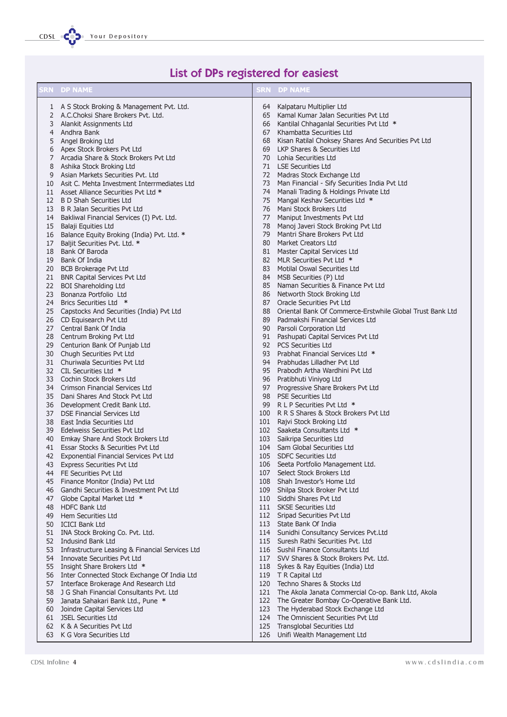CDSL COD. Your Depository

# List of DPs registered for easiest

|    | <b>SRN DP NAME</b>                                                                   |     | <b>SRN DP NAME</b>                                                             |
|----|--------------------------------------------------------------------------------------|-----|--------------------------------------------------------------------------------|
|    | 1 A S Stock Broking & Management Pvt. Ltd.                                           | 64  | Kalpataru Multiplier Ltd                                                       |
|    | 2 A.C.Choksi Share Brokers Pyt. Ltd.                                                 |     | 65 Kamal Kumar Jalan Securities Pvt Ltd                                        |
|    | 3 Alankit Assignments Ltd                                                            |     | 66 Kantilal Chhaganlal Securities Pvt Ltd *                                    |
| 4  | Andhra Bank                                                                          | 67  | Khambatta Securities Ltd                                                       |
| 5  | Angel Broking Ltd                                                                    | 68  | Kisan Ratilal Choksey Shares And Securities Pvt Ltd                            |
|    | 6 Apex Stock Brokers Pvt Ltd                                                         |     | 69 LKP Shares & Securities Ltd                                                 |
| 7  | Arcadia Share & Stock Brokers Pvt Ltd                                                |     | 70 Lohia Securities Ltd                                                        |
| 8  | Ashika Stock Broking Ltd                                                             |     | 71 LSE Securities Ltd                                                          |
| 9  | Asian Markets Securities Pvt. Ltd                                                    |     | 72 Madras Stock Exchange Ltd                                                   |
|    | 10 Asit C. Mehta Investment Interrmediates Ltd                                       |     | 73 Man Financial - Sify Securities India Pvt Ltd                               |
|    | 11 Asset Alliance Securities Pvt Ltd *                                               | 74  | Manali Trading & Holdings Private Ltd                                          |
|    | 12 B D Shah Securities Ltd                                                           |     | 75 Mangal Keshav Securities Ltd *                                              |
|    | 13 B R Jalan Securities Pvt Ltd                                                      |     | 76 Mani Stock Brokers Ltd                                                      |
| 14 | Bakliwal Financial Services (I) Pvt. Ltd.                                            |     | 77 Maniput Investments Pvt Ltd                                                 |
| 15 | Balaji Equities Ltd                                                                  |     | 78 Manoj Javeri Stock Broking Pvt Ltd                                          |
| 16 | Balance Equity Broking (India) Pvt. Ltd. *                                           |     | 79 Mantri Share Brokers Pvt Ltd                                                |
| 17 | Baljit Securities Pvt. Ltd. *                                                        |     | 80 Market Creators Ltd                                                         |
| 18 | Bank Of Baroda                                                                       |     | 81 Master Capital Services Ltd                                                 |
| 19 | Bank Of India                                                                        |     | 82 MLR Securities Pvt Ltd *                                                    |
| 20 | <b>BCB Brokerage Pvt Ltd</b>                                                         | 83  | Motilal Oswal Securities Ltd                                                   |
| 21 | <b>BNR Capital Services Pvt Ltd</b>                                                  |     | 84 MSB Securities (P) Ltd                                                      |
| 22 | <b>BOI Shareholding Ltd</b>                                                          |     | 85 Naman Securities & Finance Pvt Ltd                                          |
| 23 | Bonanza Portfolio Ltd                                                                |     | 86 Networth Stock Broking Ltd                                                  |
| 24 | Brics Securities Ltd *                                                               |     | 87 Oracle Securities Pvt Ltd                                                   |
| 25 | Capstocks And Securities (India) Pvt Ltd                                             | 89  | 88 Oriental Bank Of Commerce-Erstwhile Global Trust Bank Ltd                   |
|    | 26 CD Equisearch Pvt Ltd<br>27 Central Bank Of India                                 |     | Padmakshi Financial Services Ltd                                               |
| 28 |                                                                                      |     | 90 Parsoli Corporation Ltd<br>91 Pashupati Capital Services Pvt Ltd            |
| 29 | Centrum Broking Pvt Ltd<br>Centurion Bank Of Punjab Ltd                              |     | 92 PCS Securities Ltd                                                          |
|    | 30 Chugh Securities Pvt Ltd                                                          |     | 93 Prabhat Financial Services Ltd *                                            |
|    | 31 Churiwala Securities Pvt Ltd                                                      |     | 94 Prabhudas Lilladher Pvt Ltd                                                 |
|    | 32 CIL Securities Ltd *                                                              |     | 95 Prabodh Artha Wardhini Pvt Ltd                                              |
|    | 33 Cochin Stock Brokers Ltd                                                          |     | 96 Pratibhuti Viniyog Ltd                                                      |
| 34 | Crimson Financial Services Ltd                                                       |     | 97 Progressive Share Brokers Pvt Ltd                                           |
| 35 | Dani Shares And Stock Pvt Ltd                                                        |     | 98 PSE Securities Ltd                                                          |
|    | 36 Development Credit Bank Ltd.                                                      |     | 99 R L P Securities Pvt Ltd *                                                  |
| 37 | DSE Financial Services Ltd                                                           |     | 100 R R S Shares & Stock Brokers Pvt Ltd                                       |
| 38 | East India Securities Ltd                                                            |     | 101 Rajvi Stock Broking Ltd                                                    |
|    | 39 Edelweiss Securities Pvt Ltd                                                      |     | 102 Saaketa Consultants Ltd *                                                  |
| 40 | Emkay Share And Stock Brokers Ltd                                                    |     | 103 Saikripa Securities Ltd                                                    |
| 41 | Essar Stocks & Securities Pvt Ltd                                                    |     | 104 Sam Global Securities Ltd                                                  |
| 42 | Exponential Financial Services Pvt Ltd                                               |     | 105 SDFC Securities Ltd                                                        |
|    | 43 Express Securities Pvt Ltd                                                        |     | 106 Seeta Portfolio Management Ltd.                                            |
|    | 44 FE Securities Pvt Ltd                                                             |     | 107 Select Stock Brokers Ltd                                                   |
|    | 45 Finance Monitor (India) Pvt Ltd                                                   |     | 108 Shah Investor's Home Ltd                                                   |
| 46 | Gandhi Securities & Investment Pvt Ltd                                               |     | 109 Shilpa Stock Broker Pvt Ltd                                                |
| 47 | Globe Capital Market Ltd *                                                           |     | 110 Siddhi Shares Pvt Ltd                                                      |
|    | 48 HDFC Bank Ltd                                                                     |     | 111 SKSE Securities Ltd                                                        |
| 49 | Hem Securities Ltd                                                                   |     | 112 Sripad Securities Pvt Ltd                                                  |
|    | 50 ICICI Bank Ltd                                                                    |     | 113 State Bank Of India                                                        |
|    | 51 INA Stock Broking Co. Pvt. Ltd.                                                   |     | 114 Sunidhi Consultancy Services Pvt.Ltd                                       |
|    | 52 Indusind Bank Ltd                                                                 |     | 115 Suresh Rathi Securities Pvt. Ltd                                           |
|    | 53 Infrastructure Leasing & Financial Services Ltd<br>54 Innovate Securities Pvt Ltd |     | 116 Sushil Finance Consultants Ltd<br>117 SVV Shares & Stock Brokers Pvt. Ltd. |
|    | 55 Insight Share Brokers Ltd *                                                       |     | 118 Sykes & Ray Equities (India) Ltd                                           |
|    | 56 Inter Connected Stock Exchange Of India Ltd                                       |     | 119 T R Capital Ltd                                                            |
|    | 57 Interface Brokerage And Research Ltd                                              |     | 120 Techno Shares & Stocks Ltd                                                 |
|    | 58 J G Shah Financial Consultants Pvt. Ltd                                           |     | 121 The Akola Janata Commercial Co-op. Bank Ltd, Akola                         |
| 59 | Janata Sahakari Bank Ltd., Pune *                                                    |     | 122 The Greater Bombay Co-Operative Bank Ltd.                                  |
|    | 60 Joindre Capital Services Ltd                                                      |     | 123 The Hyderabad Stock Exchange Ltd                                           |
|    | 61 JSEL Securities Ltd                                                               |     | 124 The Omniscient Securities Pvt Ltd                                          |
|    | 62 K & A Securities Pvt Ltd                                                          | 125 | Transglobal Securities Ltd                                                     |
|    | 63 K G Vora Securities Ltd                                                           |     | 126 Unifi Wealth Management Ltd                                                |

CDSL Infoline 4 www.cdslindia.com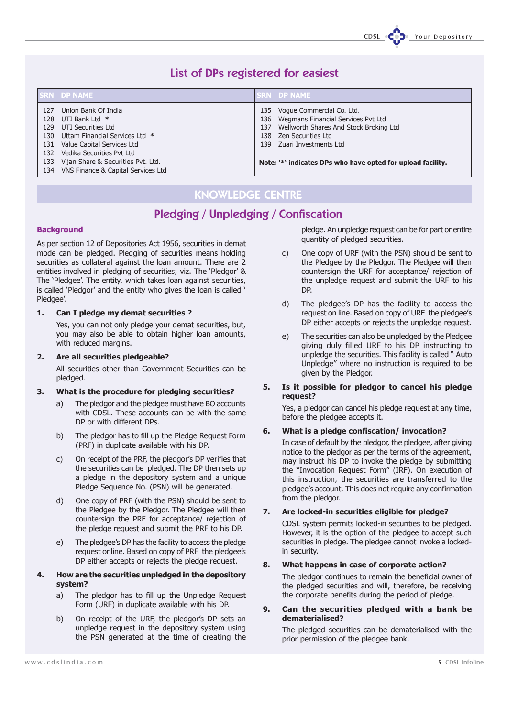CDSL COD. Your Depository

### List of DPs registered for easiest

|                                                       | <b>SRN DP NAME</b>                                                                                                                                                                                                                   | <b>SRN DP NAME</b>                                                                                                                                                                                                                                   |
|-------------------------------------------------------|--------------------------------------------------------------------------------------------------------------------------------------------------------------------------------------------------------------------------------------|------------------------------------------------------------------------------------------------------------------------------------------------------------------------------------------------------------------------------------------------------|
| 127<br>128<br>129<br>130.<br>131<br>132<br>133<br>134 | Union Bank Of India<br>UTI Bank Ltd *<br>UTI Securities Ltd<br>Uttam Financial Services Ltd *<br>Value Capital Services Ltd<br>Vedika Securities Pvt Ltd<br>Vijan Share & Securities Pvt. Ltd.<br>VNS Finance & Capital Services Ltd | Voque Commercial Co. Ltd.<br>135<br>136 Wegmans Financial Services Pvt Ltd<br>Wellworth Shares And Stock Broking Ltd<br>137<br>Zen Securities Ltd<br>138<br>139 Zuari Investments Ltd<br>Note: '*' indicates DPs who have opted for upload facility. |

### KNOWLEDGE CENTRE

### Pledging / Unpledging / Confiscation

#### **Background**

As per section 12 of Depositories Act 1956, securities in demat mode can be pledged. Pledging of securities means holding securities as collateral against the loan amount. There are 2 entities involved in pledging of securities; viz. The 'Pledgor' & The 'Pledgee'. The entity, which takes loan against securities, is called 'Pledgor' and the entity who gives the loan is called ' Pledaee'.

#### 1. Can I pledge my demat securities ?

Yes, you can not only pledge your demat securities, but, you may also be able to obtain higher loan amounts, with reduced margins.

#### 2. Are all securities pledgeable?

All securities other than Government Securities can be pledged.

#### 3. What is the procedure for pledging securities?

- a) The pledgor and the pledgee must have BO accounts with CDSL. These accounts can be with the same DP or with different DPs.
- b) The pledgor has to fill up the Pledge Request Form (PRF) in duplicate available with his DP.
- c) On receipt of the PRF, the pledgor's DP verifies that the securities can be pledged. The DP then sets up a pledge in the depository system and a unique Pledge Sequence No. (PSN) will be generated.
- d) One copy of PRF (with the PSN) should be sent to the Pledgee by the Pledgor. The Pledgee will then countersign the PRF for acceptance/ rejection of the pledge request and submit the PRF to his DP.
- e) The pledgee's DP has the facility to access the pledge request online. Based on copy of PRF the pledgee's DP either accepts or rejects the pledge request.

#### 4. How are the securities unpledged in the depository system?

- a) The pledgor has to fill up the Unpledge Request Form (URF) in duplicate available with his DP.
- b) On receipt of the URF, the pledgor's DP sets an unpledge request in the depository system using the PSN generated at the time of creating the

pledge. An unpledge request can be for part or entire quantity of pledged securities.

- c) One copy of URF (with the PSN) should be sent to the Pledgee by the Pledgor. The Pledgee will then countersign the URF for acceptance/ rejection of the unpledge request and submit the URF to his DP.
- d) The pledgee's DP has the facility to access the request on line. Based on copy of URF the pledgee's DP either accepts or rejects the unpledge request.
- e) The securities can also be unpledged by the Pledgee giving duly filled URF to his DP instructing to unpledge the securities. This facility is called " Auto Unpledge" where no instruction is required to be given by the Pledgor.

#### 5. Is it possible for pledgor to cancel his pledge request?

Yes, a pledgor can cancel his pledge request at any time, before the pledgee accepts it.

#### 6. What is a pledge confiscation/ invocation?

In case of default by the pledgor, the pledgee, after giving notice to the pledgor as per the terms of the agreement, may instruct his DP to invoke the pledge by submitting the "Invocation Request Form" (IRF). On execution of this instruction, the securities are transferred to the pledgee's account. This does not require any confirmation from the pledgor.

#### 7. Are locked-in securities eligible for pledge?

CDSL system permits locked-in securities to be pledged. However, it is the option of the pledgee to accept such securities in pledge. The pledgee cannot invoke a lockedin security.

#### 8. What happens in case of corporate action?

The pledgor continues to remain the beneficial owner of the pledged securities and will, therefore, be receiving the corporate benefits during the period of pledge.

#### 9. Can the securities pledged with a bank be dematerialised?

The pledged securities can be dematerialised with the prior permission of the pledgee bank.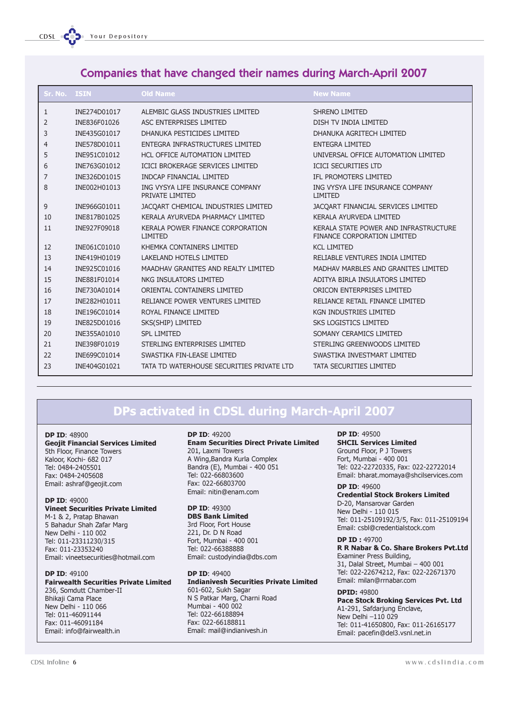### Companies that have changed their names during March-April 2007

| Sr. No. ISIN |              | <b>Old Name</b>                                     | <b>New Name</b>                                                      |
|--------------|--------------|-----------------------------------------------------|----------------------------------------------------------------------|
| 1            | INE274D01017 | ALEMBIC GLASS INDUSTRIES LIMITED                    | <b>SHRENO LIMITED</b>                                                |
| 2            | INE836F01026 | ASC ENTERPRISES LIMITED                             | DISH TV INDIA LIMITED                                                |
| 3            | INE435G01017 | DHANUKA PESTICIDES LIMITED                          | DHANUKA AGRITECH LIMITED                                             |
| 4            | INE578D01011 | ENTEGRA INFRASTRUCTURES LIMITED                     | <b>ENTEGRA LIMITED</b>                                               |
| 5            | INE951C01012 | HCL OFFICE AUTOMATION LIMITED                       | UNIVERSAL OFFICE AUTOMATION LIMITED                                  |
| 6            | INE763G01012 | ICICI BROKERAGE SERVICES LIMITED                    | <b>ICICI SECURITIES LTD</b>                                          |
| 7            | INE326D01015 | <b>INDCAP FINANCIAL LIMITED</b>                     | IFL PROMOTERS LIMITED                                                |
| 8            | INE002H01013 | ING VYSYA LIFE INSURANCE COMPANY<br>PRIVATE LIMITED | ING VYSYA LIFE INSURANCE COMPANY<br><b>LIMITED</b>                   |
| 9            | INE966G01011 | JACQART CHEMICAL INDUSTRIES LIMITED                 | JACQART FINANCIAL SERVICES LIMITED                                   |
| 10           | INE817B01025 | KERALA AYURVEDA PHARMACY LIMITED                    | KERALA AYURVEDA LIMITED                                              |
| 11           | INE927F09018 | KERALA POWER FINANCE CORPORATION<br>LIMITED         | KERALA STATE POWER AND INFRASTRUCTURE<br>FINANCE CORPORATION LIMITED |
| 12           | INE061C01010 | KHEMKA CONTAINERS LIMITED                           | <b>KCL LIMITED</b>                                                   |
| 13           | INE419H01019 | <b>LAKELAND HOTELS LIMITED</b>                      | RELIABLE VENTURES INDIA LIMITED                                      |
| 14           | INE925C01016 | MAADHAV GRANITES AND REALTY LIMITED                 | MADHAV MARBLES AND GRANITES LIMITED                                  |
| 15           | INE881F01014 | NKG INSULATORS LIMITED                              | ADITYA BIRLA INSULATORS LIMITED                                      |
| 16           | INE730A01014 | ORIENTAL CONTAINERS LIMITED                         | ORICON ENTERPRISES LIMITED                                           |
| 17           | INE282H01011 | RELIANCE POWER VENTURES LIMITED                     | RELIANCE RETAIL FINANCE LIMITED                                      |
| 18           | INE196C01014 | ROYAL FINANCE LIMITED                               | <b>KGN INDUSTRIES LIMITED</b>                                        |
| 19           | INE825D01016 | SKS(SHIP) LIMITED                                   | <b>SKS LOGISTICS LIMITED</b>                                         |
| 20           | INE355A01010 | <b>SPL LIMITED</b>                                  | SOMANY CERAMICS LIMITED                                              |
| 21           | INE398F01019 | STERLING ENTERPRISES LIMITED                        | STERLING GREENWOODS LIMITED                                          |
| 22           | INE699C01014 | SWASTIKA FIN-LEASE LIMITED                          | SWASTIKA INVESTMART LIMITED                                          |
| 23           | INE404G01021 | TATA TD WATERHOUSE SECURITIES PRIVATE LTD           | TATA SECURITIES LIMITED                                              |

## DPs activated in CDSL during March-April 2007

#### DP ID: 48900

Geojit Financial Services Limited 5th Floor, Finance Towers Kaloor, Kochi- 682 017 Tel: 0484-2405501 Fax: 0484-2405608 Email: ashraf@geojit.com

#### DP ID: 49000

Vineet Securities Private Limited M-1 & 2, Pratap Bhawan 5 Bahadur Shah Zafar Marg New Delhi - 110 002 Tel: 011-23311230/315 Fax: 011-23353240 Email: vineetsecurities@hotmail.com

#### DP ID: 49100 Fairwealth Securities Private Limited 236, Somdutt Chamber-II Bhikaji Cama Place New Delhi - 110 066 Tel: 011-46091144 Fax: 011-46091184 Email: info@fairwealth.in

#### DP ID: 49200

Enam Securities Direct Private Limited 201, Laxmi Towers A Wing,Bandra Kurla Complex Bandra (E), Mumbai - 400 051 Tel: 022-66803600 Fax: 022-66803700 Email: nitin@enam.com

#### DP ID: 49300

DBS Bank Limited 3rd Floor, Fort House 221, Dr. D N Road Fort, Mumbai - 400 001 Tel: 022-66388888 Email: custodyindia@dbs.com

#### DP ID: 49400 Indianivesh Securities Private Limited 601-602, Sukh Sagar N S Patkar Marg, Charni Road Mumbai - 400 002 Tel: 022-66188894 Fax: 022-66188811 Email: mail@indianivesh.in

DP ID: 49500 SHCIL Services Limited Ground Floor, P J Towers Fort, Mumbai - 400 001 Tel: 022-22720335, Fax: 022-22722014 Email: bharat.momaya@shcilservices.com

#### DP ID: 49600 Credential Stock Brokers Limited D-20, Mansarovar Garden New Delhi - 110 015 Tel: 011-25109192/3/5, Fax: 011-25109194 Email: csbl@credentialstock.com

DP ID : 49700 R R Nabar & Co. Share Brokers Pvt.Ltd Examiner Press Building, 31, Dalal Street, Mumbai – 400 001 Tel: 022-22674212, Fax: 022-22671370 Email: milan@rrnabar.com

#### DPID: 49800 Pace Stock Broking Services Pvt. Ltd A1-291, Safdarjung Enclave, New Delhi –110 029 Tel: 011-41650800, Fax: 011-26165177 Email: pacefin@del3.vsnl.net.in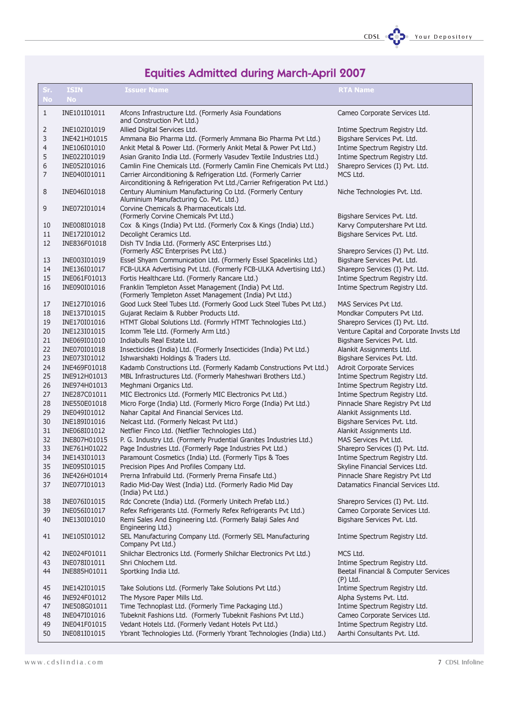![](_page_6_Picture_0.jpeg)

# Equities Admitted during March-April 2007

| Sr.          | <b>ISIN</b>                  | <b>Issuer Name</b>                                                                                                           | <b>RTA Name</b>                                                  |
|--------------|------------------------------|------------------------------------------------------------------------------------------------------------------------------|------------------------------------------------------------------|
| <b>No</b>    | <b>No</b>                    |                                                                                                                              |                                                                  |
| $\mathbf{1}$ | INE101I01011                 | Afcons Infrastructure Ltd. (Formerly Asia Foundations<br>and Construction Pvt Ltd.)                                          | Cameo Corporate Services Ltd.                                    |
| 2            | INE102I01019                 | Allied Digital Services Ltd.                                                                                                 | Intime Spectrum Registry Ltd.                                    |
| 3            | INE421H01015                 | Ammana Bio Pharma Ltd. (Formerly Ammana Bio Pharma Pvt Ltd.)                                                                 | Bigshare Services Pvt. Ltd.                                      |
| 4            | INE106I01010                 | Ankit Metal & Power Ltd. (Formerly Ankit Metal & Power Pvt Ltd.)                                                             | Intime Spectrum Registry Ltd.                                    |
| 5            | INE022I01019                 | Asian Granito India Ltd. (Formerly Vasudev Textile Industries Ltd.)                                                          | Intime Spectrum Registry Ltd.                                    |
| 6            | INE052I01016                 | Camlin Fine Chemicals Ltd. (Formerly Camlin Fine Chemicals Pvt Ltd.)                                                         | Sharepro Services (I) Pvt. Ltd.                                  |
| 7            | INE040I01011                 | Carrier Airconditioning & Refrigeration Ltd. (Formerly Carrier                                                               | MCS Ltd.                                                         |
|              |                              | Airconditioning & Refrigeration Pvt Ltd./Carrier Refrigeration Pvt Ltd.)                                                     |                                                                  |
| 8            | INE046I01018                 | Century Aluminium Manufacturing Co Ltd. (Formerly Century<br>Aluminium Manufacturing Co. Pvt. Ltd.)                          | Niche Technologies Pvt. Ltd.                                     |
| 9            | INE072I01014                 | Corvine Chemicals & Pharmaceuticals Ltd.<br>(Formerly Corvine Chemicals Pvt Ltd.)                                            | Bigshare Services Pvt. Ltd.                                      |
| 10           | INE008I01018                 | Cox & Kings (India) Pvt Ltd. (Formerly Cox & Kings (India) Ltd.)                                                             | Karvy Computershare Pvt Ltd.                                     |
| 11           | INE172I01012                 | Decolight Ceramics Ltd.                                                                                                      | Bigshare Services Pvt. Ltd.                                      |
| 12           | INE836F01018                 | Dish TV India Ltd. (Formerly ASC Enterprises Ltd.)                                                                           |                                                                  |
|              |                              | (Formerly ASC Enterprises Pvt Ltd.)                                                                                          | Sharepro Services (I) Pvt. Ltd.                                  |
| 13           | INE003I01019                 | Essel Shyam Communication Ltd. (Formerly Essel Spacelinks Ltd.)                                                              | Bigshare Services Pvt. Ltd.                                      |
| 14           | INE136I01017                 | FCB-ULKA Advertising Pvt Ltd. (Formerly FCB-ULKA Advertising Ltd.)                                                           | Sharepro Services (I) Pvt. Ltd.                                  |
| 15           | INE061F01013                 | Fortis Healthcare Ltd. (Formerly Rancare Ltd.)                                                                               | Intime Spectrum Registry Ltd.                                    |
| 16           | INE090I01016                 | Franklin Templeton Asset Management (India) Pvt Ltd.<br>(Formerly Templeton Asset Management (India) Pvt Ltd.)               | Intime Spectrum Registry Ltd.                                    |
| 17           | INE127I01016                 | Good Luck Steel Tubes Ltd. (Formerly Good Luck Steel Tubes Pvt Ltd.)                                                         | MAS Services Pvt Ltd.                                            |
| 18           | INE137I01015                 | Gujarat Reclaim & Rubber Products Ltd.                                                                                       | Mondkar Computers Pvt Ltd.                                       |
| 19           | INE170I01016                 | HTMT Global Solutions Ltd. (Formrly HTMT Technologies Ltd.)                                                                  | Sharepro Services (I) Pvt. Ltd.                                  |
| 20           | INE123I01015                 | Icomm Tele Ltd. (Formerly Arm Ltd.)                                                                                          | Venture Capital and Corporate Invsts Ltd                         |
| 21           | INE069I01010                 | Indiabulls Real Estate Ltd.                                                                                                  | Bigshare Services Pvt. Ltd.                                      |
| 22           | INE070I01018                 | Insecticides (India) Ltd. (Formerly Insecticides (India) Pvt Ltd.)                                                           | Alankit Assignments Ltd.                                         |
| 23           | INE073I01012                 | Ishwarshakti Holdings & Traders Ltd.                                                                                         | Bigshare Services Pvt. Ltd.                                      |
| 24           | INE469F01018                 | Kadamb Constructions Ltd. (Formerly Kadamb Constructions Pvt Ltd.)                                                           | <b>Adroit Corporate Services</b>                                 |
| 25           | INE912H01013                 | MBL Infrastructures Ltd. (Formerly Maheshwari Brothers Ltd.)                                                                 | Intime Spectrum Registry Ltd.                                    |
| 26<br>27     | INE974H01013                 | Meghmani Organics Ltd.                                                                                                       | Intime Spectrum Registry Ltd.                                    |
| 28           | INE287C01011<br>INE550E01018 | MIC Electronics Ltd. (Formerly MIC Electronics Pvt Ltd.)<br>Micro Forge (India) Ltd. (Formerly Micro Forge (India) Pvt Ltd.) | Intime Spectrum Registry Ltd.<br>Pinnacle Share Registry Pvt Ltd |
| 29           | INE049I01012                 | Nahar Capital And Financial Services Ltd.                                                                                    | Alankit Assignments Ltd.                                         |
| 30           | INE189I01016                 | Nelcast Ltd. (Formerly Nelcast Pvt Ltd.)                                                                                     | Bigshare Services Pvt. Ltd.                                      |
| 31           | INE068I01012                 | Netflier Finco Ltd. (Netflier Technologies Ltd.)                                                                             | Alankit Assignments Ltd.                                         |
| 32           | INE807H01015                 | P. G. Industry Ltd. (Formerly Prudential Granites Industries Ltd.)                                                           | MAS Services Pvt Ltd.                                            |
| 33           | INE761H01022                 | Page Industries Ltd. (Formerly Page Industries Pvt Ltd.)                                                                     | Sharepro Services (I) Pvt. Ltd.                                  |
| 34           | INE143I01013                 | Paramount Cosmetics (India) Ltd. (Formerly Tips & Toes                                                                       | Intime Spectrum Registry Ltd.                                    |
| 35           | INF095I01015                 | Precision Pipes And Profiles Company Ltd.                                                                                    | Skyline Financial Services Ltd.                                  |
| 36           | INE426H01014                 | Prerna Infrabuild Ltd. (Formerly Prerna Finsafe Ltd.)                                                                        | Pinnacle Share Registry Pvt Ltd                                  |
| 37           | INE077I01013                 | Radio Mid-Day West (India) Ltd. (Formerly Radio Mid Day<br>(India) Pvt Ltd.)                                                 | Datamatics Financial Services Ltd.                               |
| 38           | INE076I01015                 | Rdc Concrete (India) Ltd. (Formerly Unitech Prefab Ltd.)                                                                     | Sharepro Services (I) Pvt. Ltd.                                  |
| 39           | INE056I01017                 | Refex Refrigerants Ltd. (Formerly Refex Refrigerants Pvt Ltd.)                                                               | Cameo Corporate Services Ltd.                                    |
| 40           | INE130I01010                 | Remi Sales And Engineering Ltd. (Formerly Balaji Sales And<br>Engineering Ltd.)                                              | Bigshare Services Pvt. Ltd.                                      |
| 41           | INE105I01012                 | SEL Manufacturing Company Ltd. (Formerly SEL Manufacturing<br>Company Pvt Ltd.)                                              | Intime Spectrum Registry Ltd.                                    |
| 42           | INE024F01011                 | Shilchar Electronics Ltd. (Formerly Shilchar Electronics Pvt Ltd.)                                                           | MCS Ltd.                                                         |
| 43           | INE078I01011                 | Shri Chlochem Ltd.                                                                                                           | Intime Spectrum Registry Ltd.                                    |
| 44           | INE885H01011                 | Sportking India Ltd.                                                                                                         | Beetal Financial & Computer Services<br>$(P)$ Ltd.               |
| 45           | INE142I01015                 | Take Solutions Ltd. (Formerly Take Solutions Pvt Ltd.)                                                                       | Intime Spectrum Registry Ltd.                                    |
| 46           | INE924F01012                 | The Mysore Paper Mills Ltd.                                                                                                  | Alpha Systems Pvt. Ltd.                                          |
| 47           | INE508G01011                 | Time Technoplast Ltd. (Formerly Time Packaging Ltd.)                                                                         | Intime Spectrum Registry Ltd.                                    |
| 48           | INE047I01016                 | Tubeknit Fashions Ltd. (Formerly Tubeknit Fashions Pvt Ltd.)                                                                 | Cameo Corporate Services Ltd.                                    |
| 49           | INE041F01015                 | Vedant Hotels Ltd. (Formerly Vedant Hotels Pvt Ltd.)                                                                         | Intime Spectrum Registry Ltd.                                    |
| 50           | INE081I01015                 | Ybrant Technologies Ltd. (Formerly Ybrant Technologies (India) Ltd.)                                                         | Aarthi Consultants Pvt. Ltd.                                     |